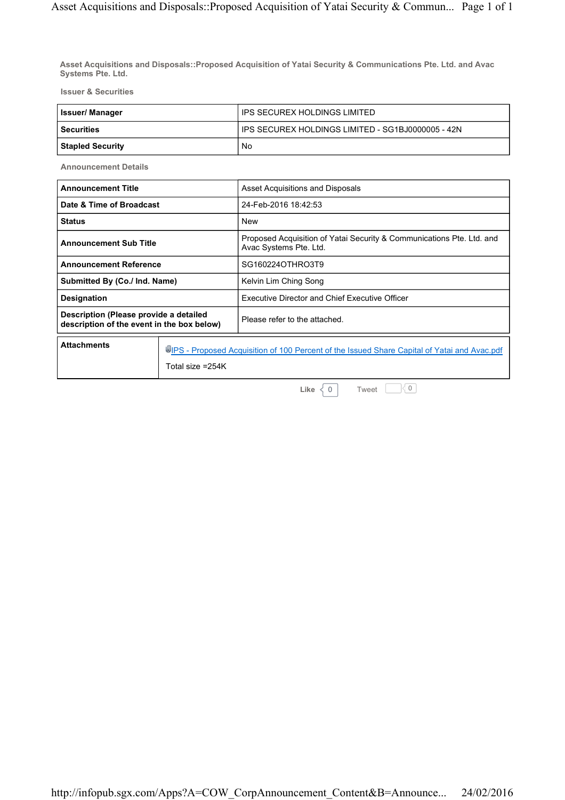**Asset Acquisitions and Disposals::Proposed Acquisition of Yatai Security & Communications Pte. Ltd. and Avac Systems Pte. Ltd.**

**Issuer & Securities**

| <b>Issuer/Manager</b> | l IPS SECUREX HOLDINGS LIMITED                     |  |
|-----------------------|----------------------------------------------------|--|
| l Securities          | LIPS SECUREX HOLDINGS LIMITED - SG1BJ0000005 - 42N |  |
| Stapled Security      | No                                                 |  |

**Announcement Details**

| <b>Announcement Title</b>                                                            |  | Asset Acquisitions and Disposals                                                                |  |
|--------------------------------------------------------------------------------------|--|-------------------------------------------------------------------------------------------------|--|
| Date & Time of Broadcast                                                             |  | 24-Feb-2016 18:42:53                                                                            |  |
| <b>Status</b>                                                                        |  | <b>New</b>                                                                                      |  |
| <b>Announcement Sub Title</b>                                                        |  | Proposed Acquisition of Yatai Security & Communications Pte. Ltd. and<br>Avac Systems Pte. Ltd. |  |
| <b>Announcement Reference</b>                                                        |  | SG160224OTHRO3T9                                                                                |  |
| Submitted By (Co./ Ind. Name)                                                        |  | Kelvin Lim Ching Song                                                                           |  |
| <b>Designation</b>                                                                   |  | <b>Executive Director and Chief Executive Officer</b>                                           |  |
| Description (Please provide a detailed<br>description of the event in the box below) |  | Please refer to the attached.                                                                   |  |
| <b>Attachments</b>                                                                   |  | UPS - Proposed Acquisition of 100 Percent of the Issued Share Capital of Yatai and Avac.pdf     |  |

Total size =254K

Tweet  $\Box$  0 **Like**  $\begin{cases} 0 \end{cases}$ 

http://infopub.sgx.com/Apps?A=COW\_CorpAnnouncement\_Content&B=Announce... 24/02/2016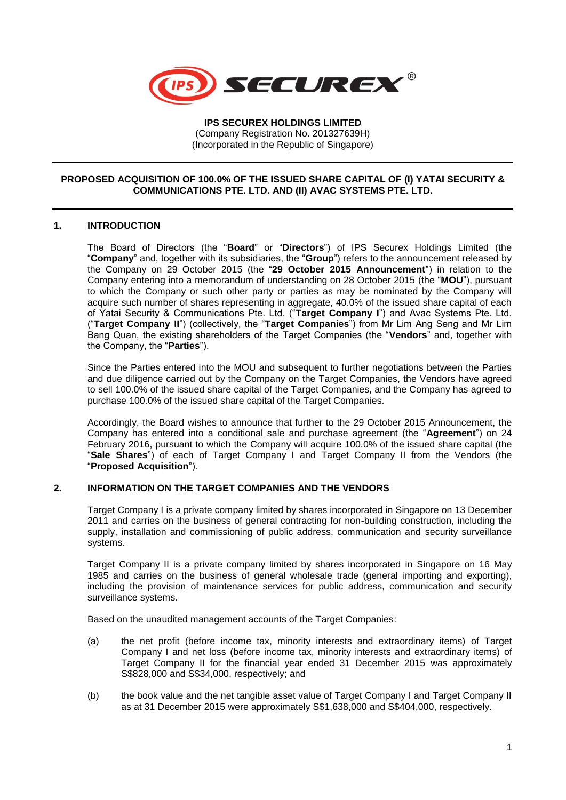

**IPS SECUREX HOLDINGS LIMITED** (Company Registration No. 201327639H) (Incorporated in the Republic of Singapore)

# **PROPOSED ACQUISITION OF 100.0% OF THE ISSUED SHARE CAPITAL OF (I) YATAI SECURITY & COMMUNICATIONS PTE. LTD. AND (II) AVAC SYSTEMS PTE. LTD.**

# **1. INTRODUCTION**

The Board of Directors (the "**Board**" or "**Directors**") of IPS Securex Holdings Limited (the "**Company**" and, together with its subsidiaries, the "**Group**") refers to the announcement released by the Company on 29 October 2015 (the "**29 October 2015 Announcement**") in relation to the Company entering into a memorandum of understanding on 28 October 2015 (the "**MOU**"), pursuant to which the Company or such other party or parties as may be nominated by the Company will acquire such number of shares representing in aggregate, 40.0% of the issued share capital of each of Yatai Security & Communications Pte. Ltd. ("**Target Company I**") and Avac Systems Pte. Ltd. ("**Target Company II**") (collectively, the "**Target Companies**") from Mr Lim Ang Seng and Mr Lim Bang Quan, the existing shareholders of the Target Companies (the "**Vendors**" and, together with the Company, the "**Parties**").

Since the Parties entered into the MOU and subsequent to further negotiations between the Parties and due diligence carried out by the Company on the Target Companies, the Vendors have agreed to sell 100.0% of the issued share capital of the Target Companies, and the Company has agreed to purchase 100.0% of the issued share capital of the Target Companies.

Accordingly, the Board wishes to announce that further to the 29 October 2015 Announcement, the Company has entered into a conditional sale and purchase agreement (the "**Agreement**") on 24 February 2016, pursuant to which the Company will acquire 100.0% of the issued share capital (the "**Sale Shares**") of each of Target Company I and Target Company II from the Vendors (the "**Proposed Acquisition**").

# **2. INFORMATION ON THE TARGET COMPANIES AND THE VENDORS**

Target Company I is a private company limited by shares incorporated in Singapore on 13 December 2011 and carries on the business of general contracting for non-building construction, including the supply, installation and commissioning of public address, communication and security surveillance systems.

Target Company II is a private company limited by shares incorporated in Singapore on 16 May 1985 and carries on the business of general wholesale trade (general importing and exporting), including the provision of maintenance services for public address, communication and security surveillance systems.

Based on the unaudited management accounts of the Target Companies:

- (a) the net profit (before income tax, minority interests and extraordinary items) of Target Company I and net loss (before income tax, minority interests and extraordinary items) of Target Company II for the financial year ended 31 December 2015 was approximately S\$828,000 and S\$34,000, respectively; and
- (b) the book value and the net tangible asset value of Target Company I and Target Company II as at 31 December 2015 were approximately S\$1,638,000 and S\$404,000, respectively.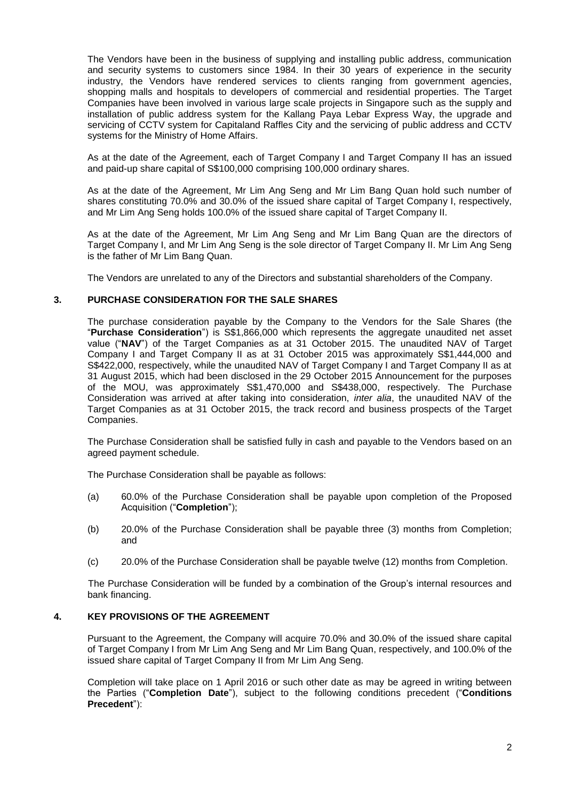The Vendors have been in the business of supplying and installing public address, communication and security systems to customers since 1984. In their 30 years of experience in the security industry, the Vendors have rendered services to clients ranging from government agencies, shopping malls and hospitals to developers of commercial and residential properties. The Target Companies have been involved in various large scale projects in Singapore such as the supply and installation of public address system for the Kallang Paya Lebar Express Way, the upgrade and servicing of CCTV system for Capitaland Raffles City and the servicing of public address and CCTV systems for the Ministry of Home Affairs.

As at the date of the Agreement, each of Target Company I and Target Company II has an issued and paid-up share capital of S\$100,000 comprising 100,000 ordinary shares.

As at the date of the Agreement, Mr Lim Ang Seng and Mr Lim Bang Quan hold such number of shares constituting 70.0% and 30.0% of the issued share capital of Target Company I, respectively, and Mr Lim Ang Seng holds 100.0% of the issued share capital of Target Company II.

As at the date of the Agreement, Mr Lim Ang Seng and Mr Lim Bang Quan are the directors of Target Company I, and Mr Lim Ang Seng is the sole director of Target Company II. Mr Lim Ang Seng is the father of Mr Lim Bang Quan.

The Vendors are unrelated to any of the Directors and substantial shareholders of the Company.

# **3. PURCHASE CONSIDERATION FOR THE SALE SHARES**

The purchase consideration payable by the Company to the Vendors for the Sale Shares (the "**Purchase Consideration**") is S\$1,866,000 which represents the aggregate unaudited net asset value ("**NAV**") of the Target Companies as at 31 October 2015. The unaudited NAV of Target Company I and Target Company II as at 31 October 2015 was approximately S\$1,444,000 and S\$422,000, respectively, while the unaudited NAV of Target Company I and Target Company II as at 31 August 2015, which had been disclosed in the 29 October 2015 Announcement for the purposes of the MOU, was approximately S\$1,470,000 and S\$438,000, respectively. The Purchase Consideration was arrived at after taking into consideration, *inter alia*, the unaudited NAV of the Target Companies as at 31 October 2015, the track record and business prospects of the Target Companies.

The Purchase Consideration shall be satisfied fully in cash and payable to the Vendors based on an agreed payment schedule.

The Purchase Consideration shall be payable as follows:

- (a) 60.0% of the Purchase Consideration shall be payable upon completion of the Proposed Acquisition ("**Completion**");
- (b) 20.0% of the Purchase Consideration shall be payable three (3) months from Completion; and
- (c) 20.0% of the Purchase Consideration shall be payable twelve (12) months from Completion.

The Purchase Consideration will be funded by a combination of the Group's internal resources and bank financing.

# **4. KEY PROVISIONS OF THE AGREEMENT**

Pursuant to the Agreement, the Company will acquire 70.0% and 30.0% of the issued share capital of Target Company I from Mr Lim Ang Seng and Mr Lim Bang Quan, respectively, and 100.0% of the issued share capital of Target Company II from Mr Lim Ang Seng.

Completion will take place on 1 April 2016 or such other date as may be agreed in writing between the Parties ("**Completion Date**"), subject to the following conditions precedent ("**Conditions Precedent**"):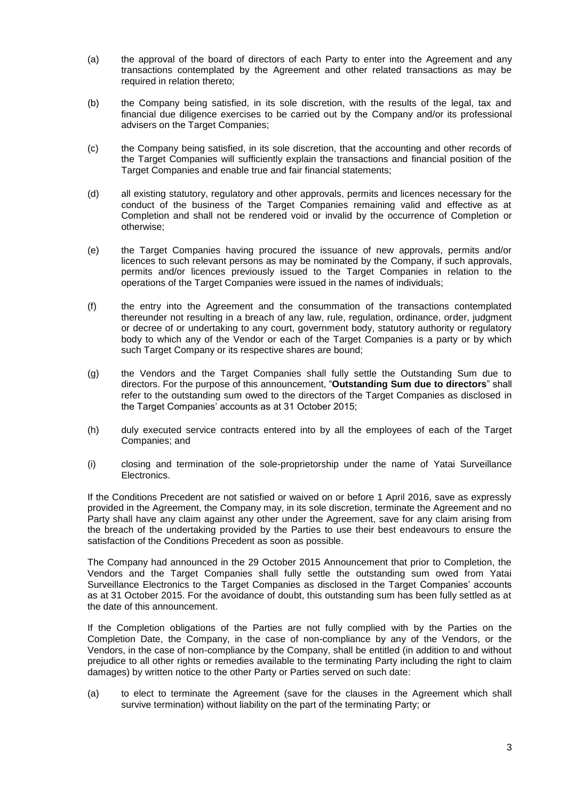- (a) the approval of the board of directors of each Party to enter into the Agreement and any transactions contemplated by the Agreement and other related transactions as may be required in relation thereto;
- (b) the Company being satisfied, in its sole discretion, with the results of the legal, tax and financial due diligence exercises to be carried out by the Company and/or its professional advisers on the Target Companies;
- (c) the Company being satisfied, in its sole discretion, that the accounting and other records of the Target Companies will sufficiently explain the transactions and financial position of the Target Companies and enable true and fair financial statements;
- (d) all existing statutory, regulatory and other approvals, permits and licences necessary for the conduct of the business of the Target Companies remaining valid and effective as at Completion and shall not be rendered void or invalid by the occurrence of Completion or otherwise;
- (e) the Target Companies having procured the issuance of new approvals, permits and/or licences to such relevant persons as may be nominated by the Company, if such approvals, permits and/or licences previously issued to the Target Companies in relation to the operations of the Target Companies were issued in the names of individuals;
- (f) the entry into the Agreement and the consummation of the transactions contemplated thereunder not resulting in a breach of any law, rule, regulation, ordinance, order, judgment or decree of or undertaking to any court, government body, statutory authority or regulatory body to which any of the Vendor or each of the Target Companies is a party or by which such Target Company or its respective shares are bound;
- (g) the Vendors and the Target Companies shall fully settle the Outstanding Sum due to directors. For the purpose of this announcement, "**Outstanding Sum due to directors**" shall refer to the outstanding sum owed to the directors of the Target Companies as disclosed in the Target Companies' accounts as at 31 October 2015;
- (h) duly executed service contracts entered into by all the employees of each of the Target Companies; and
- (i) closing and termination of the sole-proprietorship under the name of Yatai Surveillance Electronics.

If the Conditions Precedent are not satisfied or waived on or before 1 April 2016, save as expressly provided in the Agreement, the Company may, in its sole discretion, terminate the Agreement and no Party shall have any claim against any other under the Agreement, save for any claim arising from the breach of the undertaking provided by the Parties to use their best endeavours to ensure the satisfaction of the Conditions Precedent as soon as possible.

The Company had announced in the 29 October 2015 Announcement that prior to Completion, the Vendors and the Target Companies shall fully settle the outstanding sum owed from Yatai Surveillance Electronics to the Target Companies as disclosed in the Target Companies' accounts as at 31 October 2015. For the avoidance of doubt, this outstanding sum has been fully settled as at the date of this announcement.

If the Completion obligations of the Parties are not fully complied with by the Parties on the Completion Date, the Company, in the case of non-compliance by any of the Vendors, or the Vendors, in the case of non-compliance by the Company, shall be entitled (in addition to and without prejudice to all other rights or remedies available to the terminating Party including the right to claim damages) by written notice to the other Party or Parties served on such date:

(a) to elect to terminate the Agreement (save for the clauses in the Agreement which shall survive termination) without liability on the part of the terminating Party; or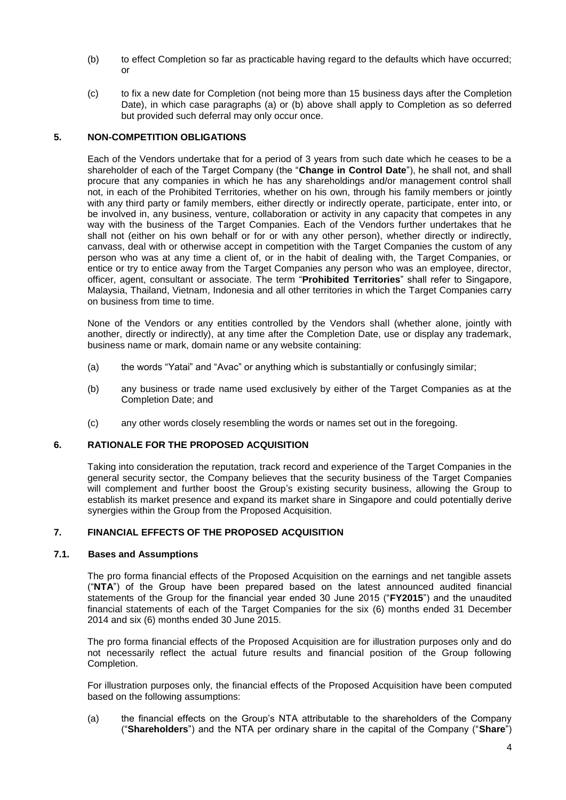- (b) to effect Completion so far as practicable having regard to the defaults which have occurred; or
- (c) to fix a new date for Completion (not being more than 15 business days after the Completion Date), in which case paragraphs (a) or (b) above shall apply to Completion as so deferred but provided such deferral may only occur once.

# **5. NON-COMPETITION OBLIGATIONS**

Each of the Vendors undertake that for a period of 3 years from such date which he ceases to be a shareholder of each of the Target Company (the "**Change in Control Date**"), he shall not, and shall procure that any companies in which he has any shareholdings and/or management control shall not, in each of the Prohibited Territories, whether on his own, through his family members or jointly with any third party or family members, either directly or indirectly operate, participate, enter into, or be involved in, any business, venture, collaboration or activity in any capacity that competes in any way with the business of the Target Companies. Each of the Vendors further undertakes that he shall not (either on his own behalf or for or with any other person), whether directly or indirectly, canvass, deal with or otherwise accept in competition with the Target Companies the custom of any person who was at any time a client of, or in the habit of dealing with, the Target Companies, or entice or try to entice away from the Target Companies any person who was an employee, director, officer, agent, consultant or associate. The term "**Prohibited Territories**" shall refer to Singapore, Malaysia, Thailand, Vietnam, Indonesia and all other territories in which the Target Companies carry on business from time to time.

None of the Vendors or any entities controlled by the Vendors shall (whether alone, jointly with another, directly or indirectly), at any time after the Completion Date, use or display any trademark, business name or mark, domain name or any website containing:

- (a) the words "Yatai" and "Avac" or anything which is substantially or confusingly similar;
- (b) any business or trade name used exclusively by either of the Target Companies as at the Completion Date; and
- (c) any other words closely resembling the words or names set out in the foregoing.

# **6. RATIONALE FOR THE PROPOSED ACQUISITION**

Taking into consideration the reputation, track record and experience of the Target Companies in the general security sector, the Company believes that the security business of the Target Companies will complement and further boost the Group's existing security business, allowing the Group to establish its market presence and expand its market share in Singapore and could potentially derive synergies within the Group from the Proposed Acquisition.

# **7. FINANCIAL EFFECTS OF THE PROPOSED ACQUISITION**

# **7.1. Bases and Assumptions**

The pro forma financial effects of the Proposed Acquisition on the earnings and net tangible assets ("**NTA**") of the Group have been prepared based on the latest announced audited financial statements of the Group for the financial year ended 30 June 2015 ("**FY2015**") and the unaudited financial statements of each of the Target Companies for the six (6) months ended 31 December 2014 and six (6) months ended 30 June 2015.

The pro forma financial effects of the Proposed Acquisition are for illustration purposes only and do not necessarily reflect the actual future results and financial position of the Group following Completion.

For illustration purposes only, the financial effects of the Proposed Acquisition have been computed based on the following assumptions:

(a) the financial effects on the Group's NTA attributable to the shareholders of the Company ("**Shareholders**") and the NTA per ordinary share in the capital of the Company ("**Share**")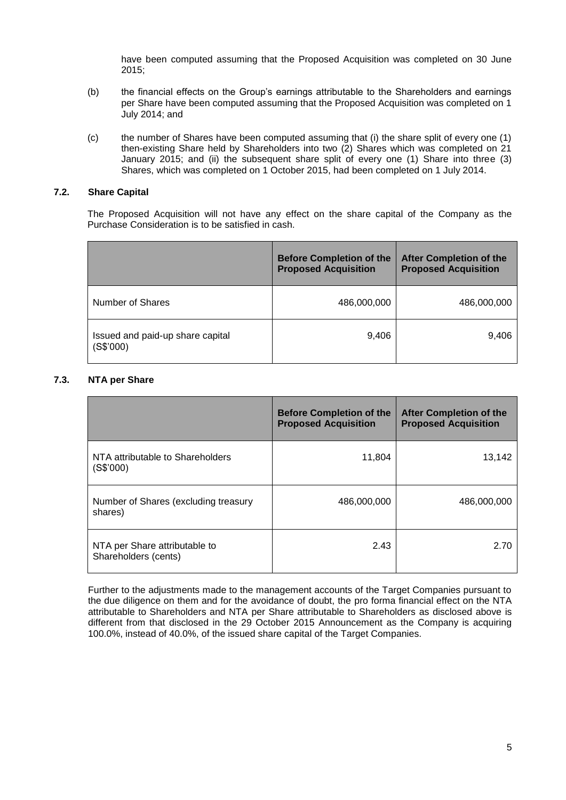have been computed assuming that the Proposed Acquisition was completed on 30 June 2015;

- (b) the financial effects on the Group's earnings attributable to the Shareholders and earnings per Share have been computed assuming that the Proposed Acquisition was completed on 1 July 2014; and
- (c) the number of Shares have been computed assuming that (i) the share split of every one (1) then-existing Share held by Shareholders into two (2) Shares which was completed on 21 January 2015; and (ii) the subsequent share split of every one (1) Share into three (3) Shares, which was completed on 1 October 2015, had been completed on 1 July 2014.

#### **7.2. Share Capital**

The Proposed Acquisition will not have any effect on the share capital of the Company as the Purchase Consideration is to be satisfied in cash.

|                                               | <b>Before Completion of the</b><br><b>Proposed Acquisition</b> | <b>After Completion of the</b><br><b>Proposed Acquisition</b> |
|-----------------------------------------------|----------------------------------------------------------------|---------------------------------------------------------------|
| Number of Shares                              | 486,000,000                                                    | 486,000,000                                                   |
| Issued and paid-up share capital<br>(S\$'000) | 9,406                                                          | 9,406                                                         |

# **7.3. NTA per Share**

|                                                       | <b>Before Completion of the</b><br><b>Proposed Acquisition</b> | <b>After Completion of the</b><br><b>Proposed Acquisition</b> |
|-------------------------------------------------------|----------------------------------------------------------------|---------------------------------------------------------------|
| NTA attributable to Shareholders<br>(S\$'000)         | 11,804                                                         | 13,142                                                        |
| Number of Shares (excluding treasury<br>shares)       | 486,000,000                                                    | 486,000,000                                                   |
| NTA per Share attributable to<br>Shareholders (cents) | 2.43                                                           | 2.70                                                          |

Further to the adjustments made to the management accounts of the Target Companies pursuant to the due diligence on them and for the avoidance of doubt, the pro forma financial effect on the NTA attributable to Shareholders and NTA per Share attributable to Shareholders as disclosed above is different from that disclosed in the 29 October 2015 Announcement as the Company is acquiring 100.0%, instead of 40.0%, of the issued share capital of the Target Companies.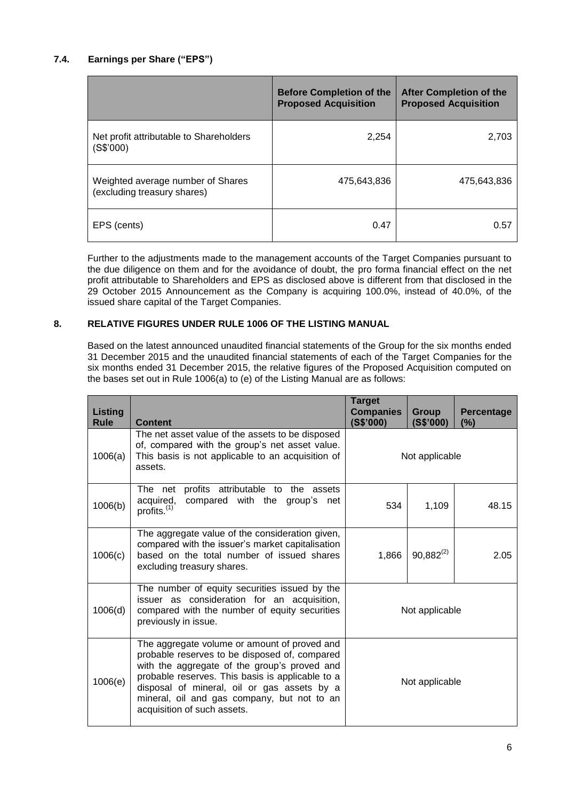# **7.4. Earnings per Share ("EPS")**

|                                                                  | <b>Before Completion of the</b><br><b>Proposed Acquisition</b> | <b>After Completion of the</b><br><b>Proposed Acquisition</b> |
|------------------------------------------------------------------|----------------------------------------------------------------|---------------------------------------------------------------|
| Net profit attributable to Shareholders<br>(S\$'000)             | 2,254                                                          | 2,703                                                         |
| Weighted average number of Shares<br>(excluding treasury shares) | 475.643.836                                                    | 475.643.836                                                   |
| EPS (cents)                                                      | 0.47                                                           | 0.57                                                          |

Further to the adjustments made to the management accounts of the Target Companies pursuant to the due diligence on them and for the avoidance of doubt, the pro forma financial effect on the net profit attributable to Shareholders and EPS as disclosed above is different from that disclosed in the 29 October 2015 Announcement as the Company is acquiring 100.0%, instead of 40.0%, of the issued share capital of the Target Companies.

# **8. RELATIVE FIGURES UNDER RULE 1006 OF THE LISTING MANUAL**

Based on the latest announced unaudited financial statements of the Group for the six months ended 31 December 2015 and the unaudited financial statements of each of the Target Companies for the six months ended 31 December 2015, the relative figures of the Proposed Acquisition computed on the bases set out in Rule 1006(a) to (e) of the Listing Manual are as follows:

| <b>Listing</b><br>Rule | <b>Content</b>                                                                                                                                                                                                                                                                                                                 | <b>Target</b><br><b>Companies</b><br>(S\$'000) | Group<br>(S\$'000) | Percentage<br>$(\%)$ |
|------------------------|--------------------------------------------------------------------------------------------------------------------------------------------------------------------------------------------------------------------------------------------------------------------------------------------------------------------------------|------------------------------------------------|--------------------|----------------------|
| 1006(a)                | The net asset value of the assets to be disposed<br>of, compared with the group's net asset value.<br>This basis is not applicable to an acquisition of<br>assets.                                                                                                                                                             | Not applicable                                 |                    |                      |
| 1006(b)                | The net profits attributable to the assets<br>acquired,<br>compared with the group's net<br>profits. <sup>(1)</sup>                                                                                                                                                                                                            | 534                                            | 1,109              | 48.15                |
| 1006(c)                | The aggregate value of the consideration given,<br>compared with the issuer's market capitalisation<br>based on the total number of issued shares<br>excluding treasury shares.                                                                                                                                                | 1,866                                          | $90,882^{(2)}$     | 2.05                 |
| 1006(d)                | The number of equity securities issued by the<br>issuer as consideration for an acquisition,<br>compared with the number of equity securities<br>previously in issue.                                                                                                                                                          | Not applicable                                 |                    |                      |
| 1006(e)                | The aggregate volume or amount of proved and<br>probable reserves to be disposed of, compared<br>with the aggregate of the group's proved and<br>probable reserves. This basis is applicable to a<br>disposal of mineral, oil or gas assets by a<br>mineral, oil and gas company, but not to an<br>acquisition of such assets. | Not applicable                                 |                    |                      |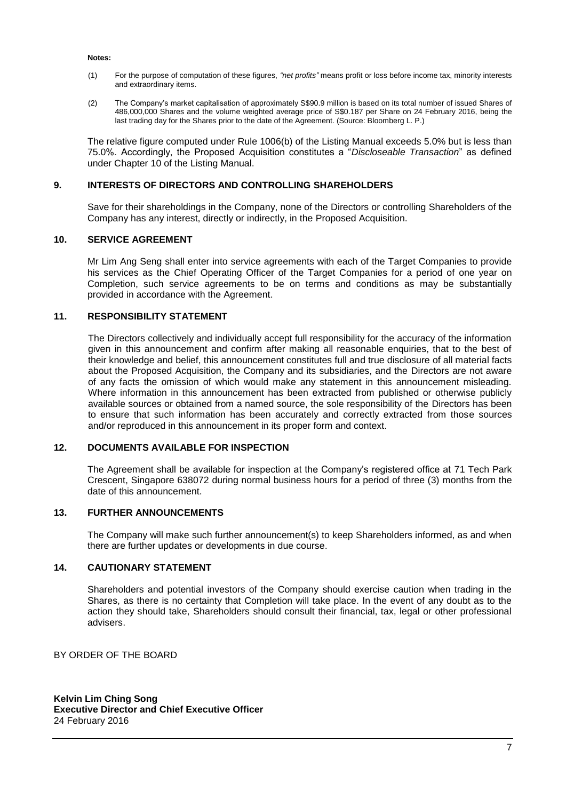#### **Notes:**

- (1) For the purpose of computation of these figures, *"net profits"* means profit or loss before income tax, minority interests and extraordinary items.
- (2) The Company's market capitalisation of approximately S\$90.9 million is based on its total number of issued Shares of 486,000,000 Shares and the volume weighted average price of S\$0.187 per Share on 24 February 2016, being the last trading day for the Shares prior to the date of the Agreement. (Source: Bloomberg L. P.)

The relative figure computed under Rule 1006(b) of the Listing Manual exceeds 5.0% but is less than 75.0%. Accordingly, the Proposed Acquisition constitutes a "*Discloseable Transaction*" as defined under Chapter 10 of the Listing Manual.

#### **9. INTERESTS OF DIRECTORS AND CONTROLLING SHAREHOLDERS**

Save for their shareholdings in the Company, none of the Directors or controlling Shareholders of the Company has any interest, directly or indirectly, in the Proposed Acquisition.

#### **10. SERVICE AGREEMENT**

Mr Lim Ang Seng shall enter into service agreements with each of the Target Companies to provide his services as the Chief Operating Officer of the Target Companies for a period of one year on Completion, such service agreements to be on terms and conditions as may be substantially provided in accordance with the Agreement.

#### **11. RESPONSIBILITY STATEMENT**

The Directors collectively and individually accept full responsibility for the accuracy of the information given in this announcement and confirm after making all reasonable enquiries, that to the best of their knowledge and belief, this announcement constitutes full and true disclosure of all material facts about the Proposed Acquisition, the Company and its subsidiaries, and the Directors are not aware of any facts the omission of which would make any statement in this announcement misleading. Where information in this announcement has been extracted from published or otherwise publicly available sources or obtained from a named source, the sole responsibility of the Directors has been to ensure that such information has been accurately and correctly extracted from those sources and/or reproduced in this announcement in its proper form and context.

#### **12. DOCUMENTS AVAILABLE FOR INSPECTION**

The Agreement shall be available for inspection at the Company's registered office at 71 Tech Park Crescent, Singapore 638072 during normal business hours for a period of three (3) months from the date of this announcement.

# **13. FURTHER ANNOUNCEMENTS**

The Company will make such further announcement(s) to keep Shareholders informed, as and when there are further updates or developments in due course.

#### **14. CAUTIONARY STATEMENT**

Shareholders and potential investors of the Company should exercise caution when trading in the Shares, as there is no certainty that Completion will take place. In the event of any doubt as to the action they should take, Shareholders should consult their financial, tax, legal or other professional advisers.

BY ORDER OF THE BOARD

**Kelvin Lim Ching Song Executive Director and Chief Executive Officer** 24 February 2016